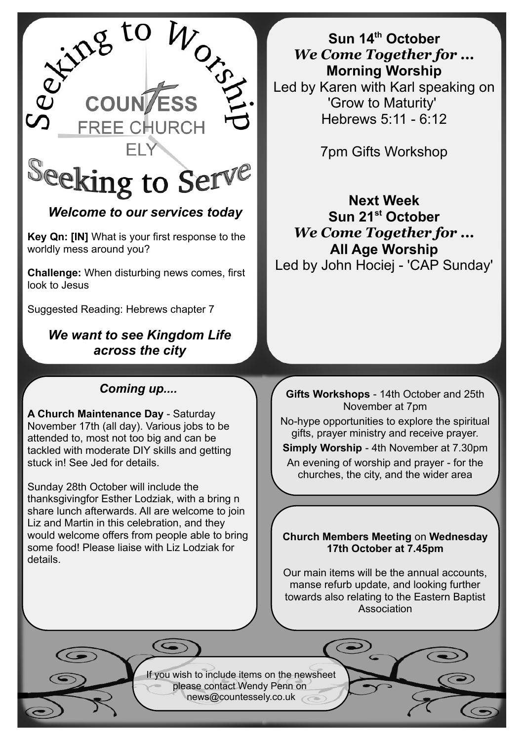

# *Welcome to our services today*

**Key Qn: [IN]** What is your first response to the worldly mess around you?

**Challenge:** When disturbing news comes, first look to Jesus

Suggested Reading: Hebrews chapter 7

## *We want to see Kingdom Life across the city*

## *Coming up....*

**A Church Maintenance Day** - Saturday November 17th (all day). Various jobs to be attended to, most not too big and can be tackled with moderate DIY skills and getting stuck in! See Jed for details.

Sunday 28th October will include the thanksgivingfor Esther Lodziak, with a bring n share lunch afterwards. All are welcome to join Liz and Martin in this celebration, and they would welcome offers from people able to bring some food! Please liaise with Liz Lodziak for details.

**Sun 14th October** *We Come Together for ...* **Morning Worship** Led by Karen with Karl speaking on 'Grow to Maturity' Hebrews 5:11 - 6:12

7pm Gifts Workshop

**Next Week Sun 21st October** *We Come Together for ...* **All Age Worship** Led by John Hociej - 'CAP Sunday'

**Gifts Workshops** - 14th October and 25th November at 7pm

No-hype opportunities to explore the spiritual gifts, prayer ministry and receive prayer.

**Simply Worship** - 4th November at 7.30pm

An evening of worship and prayer - for the churches, the city, and the wider area

### **Church Members Meeting** on **Wednesday 17th October at 7.45pm**

Our main items will be the annual accounts, manse refurb update, and looking further towards also relating to the Eastern Baptist Association

If you wish to include items on the newsheet please contact Wendy Penn on [news@countessely.co.uk](mailto:news@countessely.co.uk)